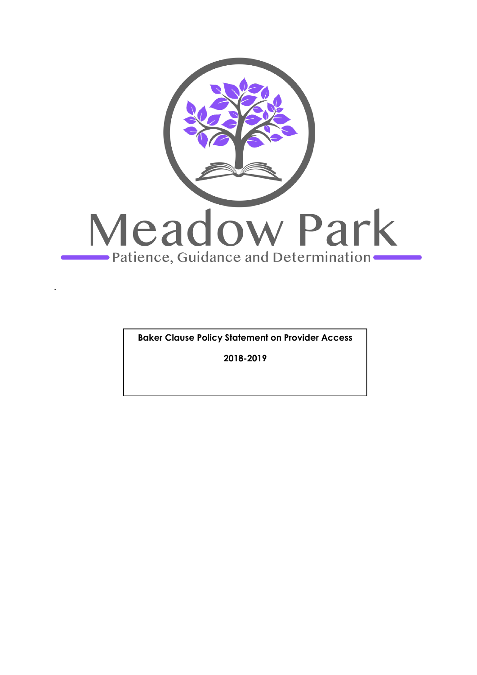

**Baker Clause Policy Statement on Provider Access**

**2018-2019**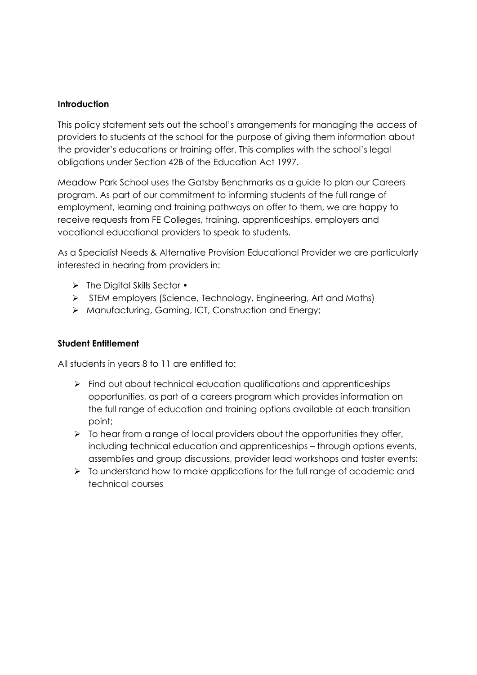### **Introduction**

This policy statement sets out the school's arrangements for managing the access of providers to students at the school for the purpose of giving them information about the provider's educations or training offer. This complies with the school's legal obligations under Section 42B of the Education Act 1997.

Meadow Park School uses the Gatsby Benchmarks as a guide to plan our Careers program. As part of our commitment to informing students of the full range of employment, learning and training pathways on offer to them, we are happy to receive requests from FE Colleges, training, apprenticeships, employers and vocational educational providers to speak to students.

As a Specialist Needs & Alternative Provision Educational Provider we are particularly interested in hearing from providers in:

- ➢ The Digital Skills Sector •
- ➢ STEM employers (Science, Technology, Engineering, Art and Maths)
- ➢ Manufacturing, Gaming, ICT, Construction and Energy;

## **Student Entitlement**

All students in years 8 to 11 are entitled to:

- $\triangleright$  Find out about technical education qualifications and apprenticeships opportunities, as part of a careers program which provides information on the full range of education and training options available at each transition point;
- $\triangleright$  To hear from a range of local providers about the opportunities they offer, including technical education and apprenticeships – through options events, assemblies and group discussions, provider lead workshops and taster events;
- ➢ To understand how to make applications for the full range of academic and technical courses